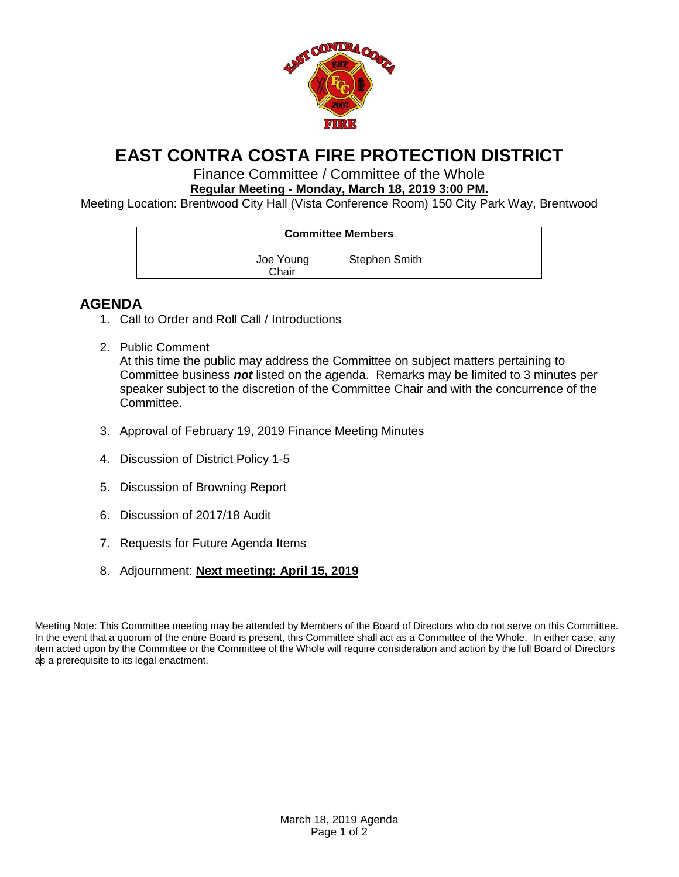

## **EAST CONTRA COSTA FIRE PROTECTION DISTRICT**

Finance Committee / Committee of the Whole **Regular Meeting - Monday, March 18, 2019 3:00 PM.**

Meeting Location: Brentwood City Hall (Vista Conference Room) 150 City Park Way, Brentwood

| <b>Committee Members</b> |                      |
|--------------------------|----------------------|
| Joe Young<br>Chair       | <b>Stephen Smith</b> |

## **AGENDA**

- 1. Call to Order and Roll Call / Introductions
- 2. Public Comment At this time the public may address the Committee on subject matters pertaining to Committee business *not* listed on the agenda. Remarks may be limited to 3 minutes per speaker subject to the discretion of the Committee Chair and with the concurrence of the Committee.
- 3. Approval of February 19, 2019 Finance Meeting Minutes
- 4. Discussion of District Policy 1-5
- 5. Discussion of Browning Report
- 6. Discussion of 2017/18 Audit
- 7. Requests for Future Agenda Items
- 8. Adjournment: **Next meeting: April 15, 2019**

Meeting Note: This Committee meeting may be attended by Members of the Board of Directors who do not serve on this Committee. In the event that a quorum of the entire Board is present, this Committee shall act as a Committee of the Whole. In either case, any item acted upon by the Committee or the Committee of the Whole will require consideration and action by the full Board of Directors as a prerequisite to its legal enactment.